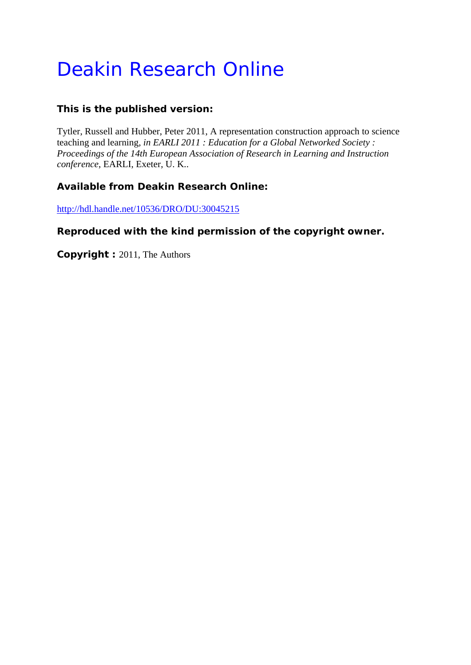# Deakin Research Online

## **This is the published version:**

Tytler, Russell and Hubber, Peter 2011, A representation construction approach to science teaching and learning*, in EARLI 2011 : Education for a Global Networked Society : Proceedings of the 14th European Association of Research in Learning and Instruction conference*, EARLI, Exeter, U. K..

## **Available from Deakin Research Online:**

http://hdl.handle.net/10536/DRO/DU:30045215

## **Reproduced with the kind permission of the copyright owner.**

**Copyright :** 2011, The Authors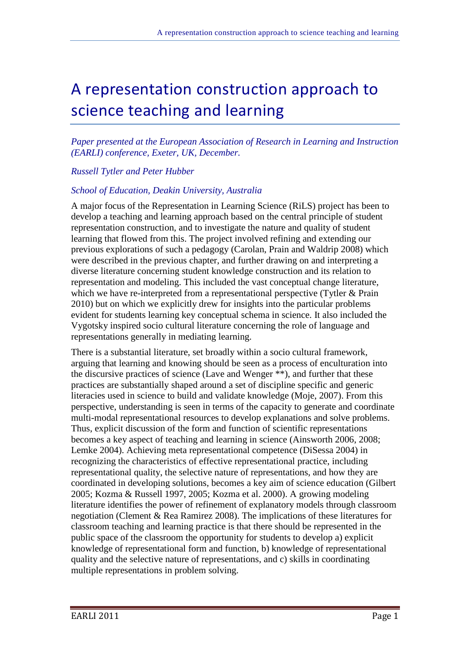## A representation construction approach to science teaching and learning

*Paper presented at the European Association of Research in Learning and Instruction (EARLI) conference, Exeter, UK, December.*

## *Russell Tytler and Peter Hubber*

## *School of Education, Deakin University, Australia*

A major focus of the Representation in Learning Science (RiLS) project has been to develop a teaching and learning approach based on the central principle of student representation construction, and to investigate the nature and quality of student learning that flowed from this. The project involved refining and extending our previous explorations of such a pedagogy (Carolan, Prain and Waldrip 2008) which were described in the previous chapter, and further drawing on and interpreting a diverse literature concerning student knowledge construction and its relation to representation and modeling. This included the vast conceptual change literature, which we have re-interpreted from a representational perspective (Tytler & Prain 2010) but on which we explicitly drew for insights into the particular problems evident for students learning key conceptual schema in science. It also included the Vygotsky inspired socio cultural literature concerning the role of language and representations generally in mediating learning.

There is a substantial literature, set broadly within a socio cultural framework, arguing that learning and knowing should be seen as a process of enculturation into the discursive practices of science (Lave and Wenger \*\*), and further that these practices are substantially shaped around a set of discipline specific and generic literacies used in science to build and validate knowledge (Moje, 2007). From this perspective, understanding is seen in terms of the capacity to generate and coordinate multi-modal representational resources to develop explanations and solve problems. Thus, explicit discussion of the form and function of scientific representations becomes a key aspect of teaching and learning in science (Ainsworth 2006, 2008; Lemke 2004). Achieving meta representational competence (DiSessa 2004) in recognizing the characteristics of effective representational practice, including representational quality, the selective nature of representations, and how they are coordinated in developing solutions, becomes a key aim of science education (Gilbert 2005; Kozma & Russell 1997, 2005; Kozma et al. 2000). A growing modeling literature identifies the power of refinement of explanatory models through classroom negotiation (Clement & Rea Ramirez 2008). The implications of these literatures for classroom teaching and learning practice is that there should be represented in the public space of the classroom the opportunity for students to develop a) explicit knowledge of representational form and function, b) knowledge of representational quality and the selective nature of representations, and c) skills in coordinating multiple representations in problem solving.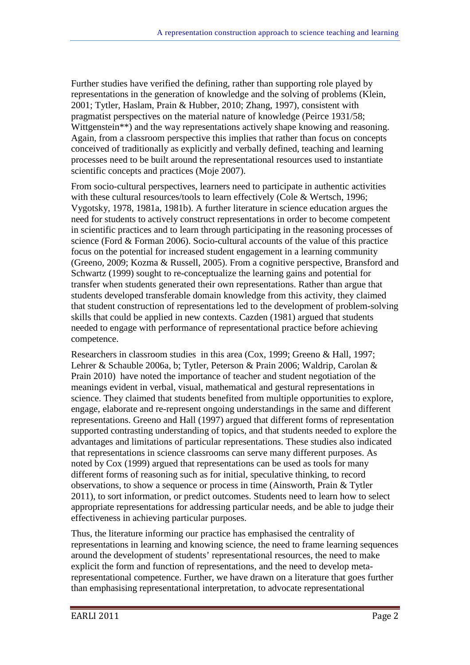Further studies have verified the defining, rather than supporting role played by representations in the generation of knowledge and the solving of problems (Klein, 2001; Tytler, Haslam, Prain & Hubber, 2010; Zhang, 1997), consistent with pragmatist perspectives on the material nature of knowledge (Peirce 1931/58; Wittgenstein<sup>\*\*</sup>) and the way representations actively shape knowing and reasoning. Again, from a classroom perspective this implies that rather than focus on concepts conceived of traditionally as explicitly and verbally defined, teaching and learning processes need to be built around the representational resources used to instantiate scientific concepts and practices (Moje 2007).

From socio-cultural perspectives, learners need to participate in authentic activities with these cultural resources/tools to learn effectively (Cole & Wertsch, 1996; Vygotsky, 1978, 1981a, 1981b). A further literature in science education argues the need for students to actively construct representations in order to become competent in scientific practices and to learn through participating in the reasoning processes of science (Ford & Forman 2006). Socio-cultural accounts of the value of this practice focus on the potential for increased student engagement in a learning community (Greeno, 2009; Kozma & Russell, 2005). From a cognitive perspective, Bransford and Schwartz (1999) sought to re-conceptualize the learning gains and potential for transfer when students generated their own representations. Rather than argue that students developed transferable domain knowledge from this activity, they claimed that student construction of representations led to the development of problem-solving skills that could be applied in new contexts. Cazden (1981) argued that students needed to engage with performance of representational practice before achieving competence.

Researchers in classroom studies in this area (Cox, 1999; Greeno & Hall, 1997; Lehrer & Schauble 2006a, b; Tytler, Peterson & Prain 2006; Waldrip, Carolan & Prain 2010) have noted the importance of teacher and student negotiation of the meanings evident in verbal, visual, mathematical and gestural representations in science. They claimed that students benefited from multiple opportunities to explore, engage, elaborate and re-represent ongoing understandings in the same and different representations. Greeno and Hall (1997) argued that different forms of representation supported contrasting understanding of topics, and that students needed to explore the advantages and limitations of particular representations. These studies also indicated that representations in science classrooms can serve many different purposes. As noted by Cox (1999) argued that representations can be used as tools for many different forms of reasoning such as for initial, speculative thinking, to record observations, to show a sequence or process in time (Ainsworth, Prain & Tytler 2011), to sort information, or predict outcomes. Students need to learn how to select appropriate representations for addressing particular needs, and be able to judge their effectiveness in achieving particular purposes.

Thus, the literature informing our practice has emphasised the centrality of representations in learning and knowing science, the need to frame learning sequences around the development of students' representational resources, the need to make explicit the form and function of representations, and the need to develop metarepresentational competence. Further, we have drawn on a literature that goes further than emphasising representational interpretation, to advocate representational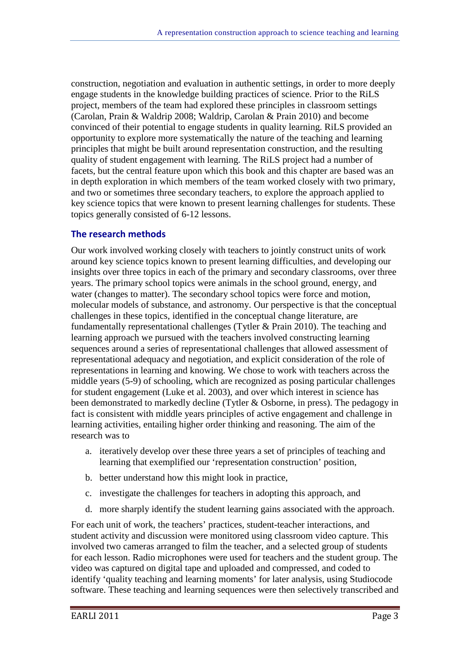construction, negotiation and evaluation in authentic settings, in order to more deeply engage students in the knowledge building practices of science. Prior to the RiLS project, members of the team had explored these principles in classroom settings (Carolan, Prain & Waldrip 2008; Waldrip, Carolan & Prain 2010) and become convinced of their potential to engage students in quality learning. RiLS provided an opportunity to explore more systematically the nature of the teaching and learning principles that might be built around representation construction, and the resulting quality of student engagement with learning. The RiLS project had a number of facets, but the central feature upon which this book and this chapter are based was an in depth exploration in which members of the team worked closely with two primary, and two or sometimes three secondary teachers, to explore the approach applied to key science topics that were known to present learning challenges for students. These topics generally consisted of 6-12 lessons.

#### **The research methods**

Our work involved working closely with teachers to jointly construct units of work around key science topics known to present learning difficulties, and developing our insights over three topics in each of the primary and secondary classrooms, over three years. The primary school topics were animals in the school ground, energy, and water (changes to matter). The secondary school topics were force and motion, molecular models of substance, and astronomy. Our perspective is that the conceptual challenges in these topics, identified in the conceptual change literature, are fundamentally representational challenges (Tytler & Prain 2010). The teaching and learning approach we pursued with the teachers involved constructing learning sequences around a series of representational challenges that allowed assessment of representational adequacy and negotiation, and explicit consideration of the role of representations in learning and knowing. We chose to work with teachers across the middle years (5-9) of schooling, which are recognized as posing particular challenges for student engagement (Luke et al. 2003), and over which interest in science has been demonstrated to markedly decline (Tytler & Osborne, in press). The pedagogy in fact is consistent with middle years principles of active engagement and challenge in learning activities, entailing higher order thinking and reasoning. The aim of the research was to

- a. iteratively develop over these three years a set of principles of teaching and learning that exemplified our 'representation construction' position,
- b. better understand how this might look in practice,
- c. investigate the challenges for teachers in adopting this approach, and
- d. more sharply identify the student learning gains associated with the approach.

For each unit of work, the teachers' practices, student-teacher interactions, and student activity and discussion were monitored using classroom video capture. This involved two cameras arranged to film the teacher, and a selected group of students for each lesson. Radio microphones were used for teachers and the student group. The video was captured on digital tape and uploaded and compressed, and coded to identify 'quality teaching and learning moments' for later analysis, using Studiocode software. These teaching and learning sequences were then selectively transcribed and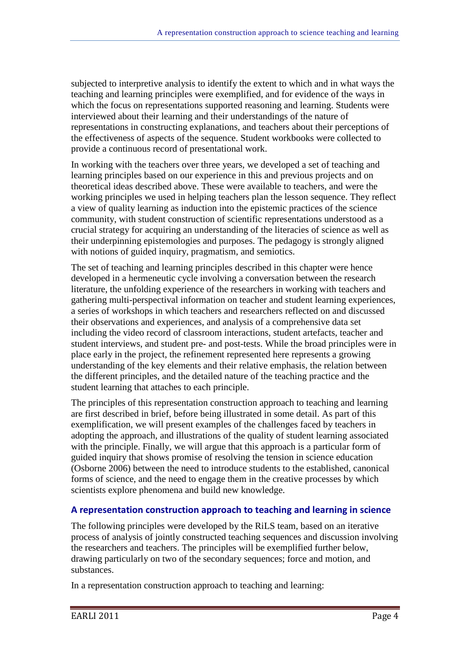subjected to interpretive analysis to identify the extent to which and in what ways the teaching and learning principles were exemplified, and for evidence of the ways in which the focus on representations supported reasoning and learning. Students were interviewed about their learning and their understandings of the nature of representations in constructing explanations, and teachers about their perceptions of the effectiveness of aspects of the sequence. Student workbooks were collected to provide a continuous record of presentational work.

In working with the teachers over three years, we developed a set of teaching and learning principles based on our experience in this and previous projects and on theoretical ideas described above. These were available to teachers, and were the working principles we used in helping teachers plan the lesson sequence. They reflect a view of quality learning as induction into the epistemic practices of the science community, with student construction of scientific representations understood as a crucial strategy for acquiring an understanding of the literacies of science as well as their underpinning epistemologies and purposes. The pedagogy is strongly aligned with notions of guided inquiry, pragmatism, and semiotics.

The set of teaching and learning principles described in this chapter were hence developed in a hermeneutic cycle involving a conversation between the research literature, the unfolding experience of the researchers in working with teachers and gathering multi-perspectival information on teacher and student learning experiences, a series of workshops in which teachers and researchers reflected on and discussed their observations and experiences, and analysis of a comprehensive data set including the video record of classroom interactions, student artefacts, teacher and student interviews, and student pre- and post-tests. While the broad principles were in place early in the project, the refinement represented here represents a growing understanding of the key elements and their relative emphasis, the relation between the different principles, and the detailed nature of the teaching practice and the student learning that attaches to each principle.

The principles of this representation construction approach to teaching and learning are first described in brief, before being illustrated in some detail. As part of this exemplification, we will present examples of the challenges faced by teachers in adopting the approach, and illustrations of the quality of student learning associated with the principle. Finally, we will argue that this approach is a particular form of guided inquiry that shows promise of resolving the tension in science education (Osborne 2006) between the need to introduce students to the established, canonical forms of science, and the need to engage them in the creative processes by which scientists explore phenomena and build new knowledge.

## **A representation construction approach to teaching and learning in science**

The following principles were developed by the RiLS team, based on an iterative process of analysis of jointly constructed teaching sequences and discussion involving the researchers and teachers. The principles will be exemplified further below, drawing particularly on two of the secondary sequences; force and motion, and substances.

In a representation construction approach to teaching and learning: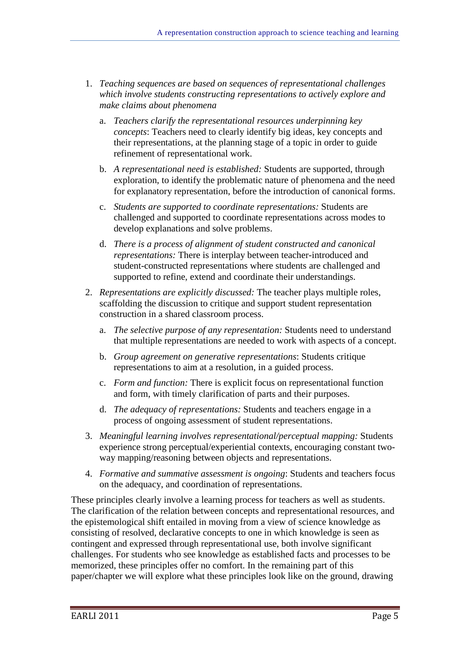- 1. *Teaching sequences are based on sequences of representational challenges which involve students constructing representations to actively explore and make claims about phenomena*
	- a. *Teachers clarify the representational resources underpinning key concepts*: Teachers need to clearly identify big ideas, key concepts and their representations, at the planning stage of a topic in order to guide refinement of representational work.
	- b. *A representational need is established:* Students are supported, through exploration, to identify the problematic nature of phenomena and the need for explanatory representation, before the introduction of canonical forms.
	- c. *Students are supported to coordinate representations:* Students are challenged and supported to coordinate representations across modes to develop explanations and solve problems.
	- d. *There is a process of alignment of student constructed and canonical representations:* There is interplay between teacher-introduced and student-constructed representations where students are challenged and supported to refine, extend and coordinate their understandings.
- 2. *Representations are explicitly discussed:* The teacher plays multiple roles, scaffolding the discussion to critique and support student representation construction in a shared classroom process.
	- a. *The selective purpose of any representation:* Students need to understand that multiple representations are needed to work with aspects of a concept.
	- b. *Group agreement on generative representations*: Students critique representations to aim at a resolution, in a guided process.
	- c. *Form and function:* There is explicit focus on representational function and form, with timely clarification of parts and their purposes.
	- d. *The adequacy of representations:* Students and teachers engage in a process of ongoing assessment of student representations.
- 3. *Meaningful learning involves representational/perceptual mapping:* Students experience strong perceptual/experiential contexts, encouraging constant twoway mapping/reasoning between objects and representations.
- 4. *Formative and summative assessment is ongoing*: Students and teachers focus on the adequacy, and coordination of representations.

These principles clearly involve a learning process for teachers as well as students. The clarification of the relation between concepts and representational resources, and the epistemological shift entailed in moving from a view of science knowledge as consisting of resolved, declarative concepts to one in which knowledge is seen as contingent and expressed through representational use, both involve significant challenges. For students who see knowledge as established facts and processes to be memorized, these principles offer no comfort. In the remaining part of this paper/chapter we will explore what these principles look like on the ground, drawing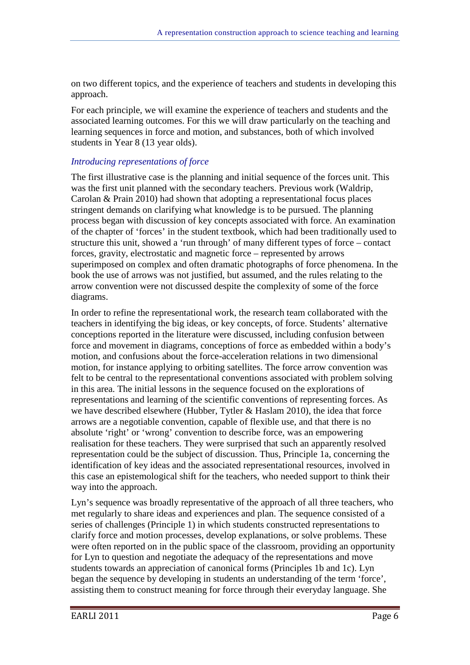on two different topics, and the experience of teachers and students in developing this approach.

For each principle, we will examine the experience of teachers and students and the associated learning outcomes. For this we will draw particularly on the teaching and learning sequences in force and motion, and substances, both of which involved students in Year 8 (13 year olds).

#### *Introducing representations of force*

The first illustrative case is the planning and initial sequence of the forces unit. This was the first unit planned with the secondary teachers. Previous work (Waldrip, Carolan & Prain 2010) had shown that adopting a representational focus places stringent demands on clarifying what knowledge is to be pursued. The planning process began with discussion of key concepts associated with force. An examination of the chapter of 'forces' in the student textbook, which had been traditionally used to structure this unit, showed a 'run through' of many different types of force – contact forces, gravity, electrostatic and magnetic force – represented by arrows superimposed on complex and often dramatic photographs of force phenomena. In the book the use of arrows was not justified, but assumed, and the rules relating to the arrow convention were not discussed despite the complexity of some of the force diagrams.

In order to refine the representational work, the research team collaborated with the teachers in identifying the big ideas, or key concepts, of force. Students' alternative conceptions reported in the literature were discussed, including confusion between force and movement in diagrams, conceptions of force as embedded within a body's motion, and confusions about the force-acceleration relations in two dimensional motion, for instance applying to orbiting satellites. The force arrow convention was felt to be central to the representational conventions associated with problem solving in this area. The initial lessons in the sequence focused on the explorations of representations and learning of the scientific conventions of representing forces. As we have described elsewhere (Hubber, Tytler & Haslam 2010), the idea that force arrows are a negotiable convention, capable of flexible use, and that there is no absolute 'right' or 'wrong' convention to describe force, was an empowering realisation for these teachers. They were surprised that such an apparently resolved representation could be the subject of discussion. Thus, Principle 1a, concerning the identification of key ideas and the associated representational resources, involved in this case an epistemological shift for the teachers, who needed support to think their way into the approach.

Lyn's sequence was broadly representative of the approach of all three teachers, who met regularly to share ideas and experiences and plan. The sequence consisted of a series of challenges (Principle 1) in which students constructed representations to clarify force and motion processes, develop explanations, or solve problems. These were often reported on in the public space of the classroom, providing an opportunity for Lyn to question and negotiate the adequacy of the representations and move students towards an appreciation of canonical forms (Principles 1b and 1c). Lyn began the sequence by developing in students an understanding of the term 'force', assisting them to construct meaning for force through their everyday language. She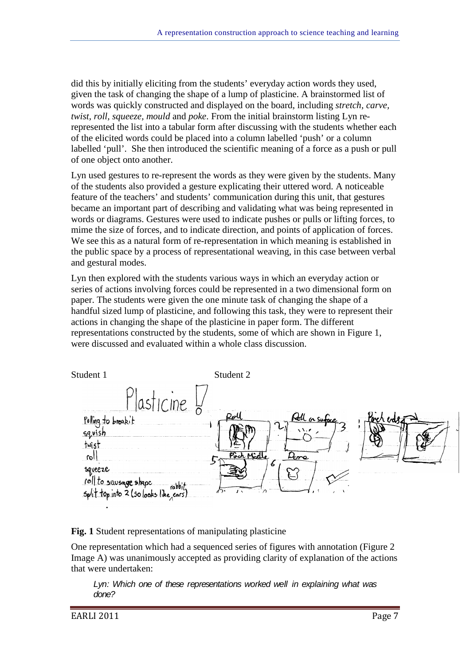did this by initially eliciting from the students' everyday action words they used, given the task of changing the shape of a lump of plasticine. A brainstormed list of words was quickly constructed and displayed on the board, including *stretch, carve, twist, roll, squeeze, mould* and *poke*. From the initial brainstorm listing Lyn rerepresented the list into a tabular form after discussing with the students whether each of the elicited words could be placed into a column labelled 'push' or a column labelled 'pull'. She then introduced the scientific meaning of a force as a push or pull of one object onto another.

Lyn used gestures to re-represent the words as they were given by the students. Many of the students also provided a gesture explicating their uttered word. A noticeable feature of the teachers' and students' communication during this unit, that gestures became an important part of describing and validating what was being represented in words or diagrams. Gestures were used to indicate pushes or pulls or lifting forces, to mime the size of forces, and to indicate direction, and points of application of forces. We see this as a natural form of re-representation in which meaning is established in the public space by a process of representational weaving, in this case between verbal and gestural modes.

Lyn then explored with the students various ways in which an everyday action or series of actions involving forces could be represented in a two dimensional form on paper. The students were given the one minute task of changing the shape of a handful sized lump of plasticine, and following this task, they were to represent their actions in changing the shape of the plasticine in paper form. The different representations constructed by the students, some of which are shown in Figure 1, were discussed and evaluated within a whole class discussion.

| Student 1                                               |                                                                | Student 2                        |                                                  |          |  |
|---------------------------------------------------------|----------------------------------------------------------------|----------------------------------|--------------------------------------------------|----------|--|
|                                                         | asticine                                                       |                                  |                                                  |          |  |
| Pulling to breakit<br>squish<br>twist<br>rol<br>squeeze | rell to sausage shape<br>split top into 2 (so looks like ears) | Doll<br>Poch Midle<br>$\prime$ . | All or surface<br>$\Delta \Delta x$<br>Done<br>6 | lex cds; |  |

**Fig. 1** Student representations of manipulating plasticine

One representation which had a sequenced series of figures with annotation (Figure 2 Image A) was unanimously accepted as providing clarity of explanation of the actions that were undertaken:

Lyn: Which one of these representations worked well in explaining what was *done?*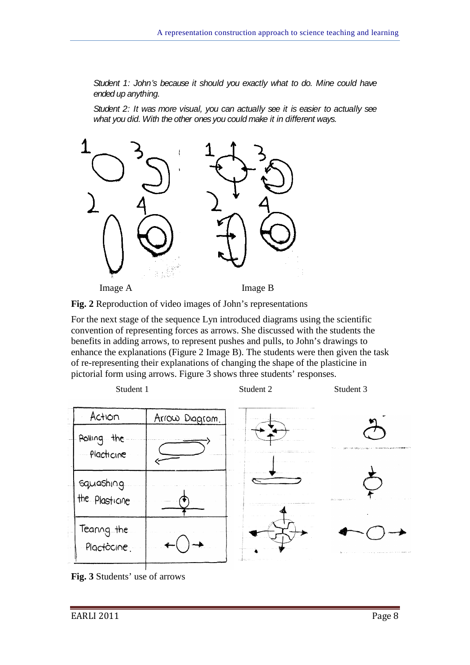*Student 1: John's because it should you exactly what to do. Mine could have ended up anything.*

*Student 2: It was more visual, you can actually see it is easier to actually see what you did. With the other ones you could make it in different ways.*



**Fig. 2** Reproduction of video images of John's representations

For the next stage of the sequence Lyn introduced diagrams using the scientific convention of representing forces as arrows. She discussed with the students the benefits in adding arrows, to represent pushes and pulls, to John's drawings to enhance the explanations (Figure 2 Image B). The students were then given the task of re-representing their explanations of changing the shape of the plasticine in pictorial form using arrows. Figure 3 shows three students' responses.



**Fig. 3** Students' use of arrows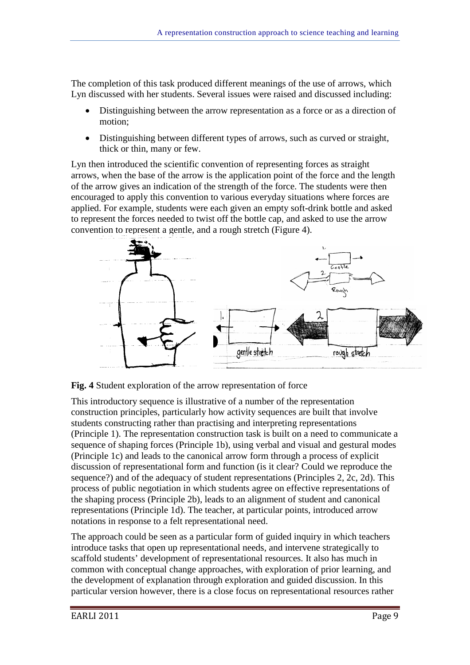The completion of this task produced different meanings of the use of arrows, which Lyn discussed with her students. Several issues were raised and discussed including:

- Distinguishing between the arrow representation as a force or as a direction of motion;
- Distinguishing between different types of arrows, such as curved or straight, thick or thin, many or few.

Lyn then introduced the scientific convention of representing forces as straight arrows, when the base of the arrow is the application point of the force and the length of the arrow gives an indication of the strength of the force. The students were then encouraged to apply this convention to various everyday situations where forces are applied. For example, students were each given an empty soft-drink bottle and asked to represent the forces needed to twist off the bottle cap, and asked to use the arrow convention to represent a gentle, and a rough stretch (Figure 4).



**Fig. 4** Student exploration of the arrow representation of force

This introductory sequence is illustrative of a number of the representation construction principles, particularly how activity sequences are built that involve students constructing rather than practising and interpreting representations (Principle 1). The representation construction task is built on a need to communicate a sequence of shaping forces (Principle 1b), using verbal and visual and gestural modes (Principle 1c) and leads to the canonical arrow form through a process of explicit discussion of representational form and function (is it clear? Could we reproduce the sequence?) and of the adequacy of student representations (Principles 2, 2c, 2d). This process of public negotiation in which students agree on effective representations of the shaping process (Principle 2b), leads to an alignment of student and canonical representations (Principle 1d). The teacher, at particular points, introduced arrow notations in response to a felt representational need.

The approach could be seen as a particular form of guided inquiry in which teachers introduce tasks that open up representational needs, and intervene strategically to scaffold students' development of representational resources. It also has much in common with conceptual change approaches, with exploration of prior learning, and the development of explanation through exploration and guided discussion. In this particular version however, there is a close focus on representational resources rather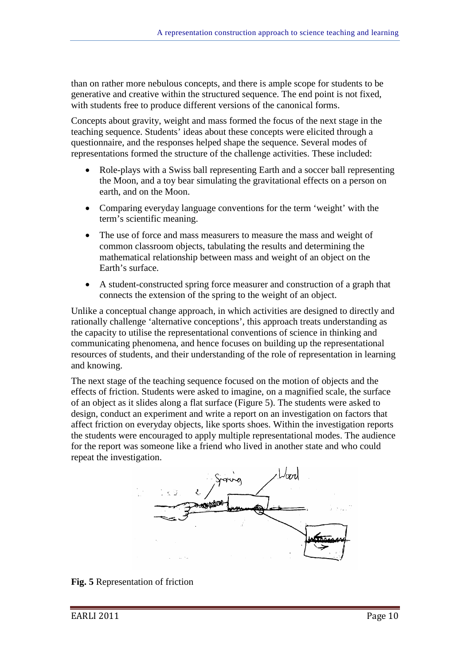than on rather more nebulous concepts, and there is ample scope for students to be generative and creative within the structured sequence. The end point is not fixed, with students free to produce different versions of the canonical forms.

Concepts about gravity, weight and mass formed the focus of the next stage in the teaching sequence. Students' ideas about these concepts were elicited through a questionnaire, and the responses helped shape the sequence. Several modes of representations formed the structure of the challenge activities. These included:

- Role-plays with a Swiss ball representing Earth and a soccer ball representing the Moon, and a toy bear simulating the gravitational effects on a person on earth, and on the Moon.
- Comparing everyday language conventions for the term 'weight' with the term's scientific meaning.
- The use of force and mass measurers to measure the mass and weight of common classroom objects, tabulating the results and determining the mathematical relationship between mass and weight of an object on the Earth's surface.
- A student-constructed spring force measurer and construction of a graph that connects the extension of the spring to the weight of an object.

Unlike a conceptual change approach, in which activities are designed to directly and rationally challenge 'alternative conceptions', this approach treats understanding as the capacity to utilise the representational conventions of science in thinking and communicating phenomena, and hence focuses on building up the representational resources of students, and their understanding of the role of representation in learning and knowing.

The next stage of the teaching sequence focused on the motion of objects and the effects of friction. Students were asked to imagine, on a magnified scale, the surface of an object as it slides along a flat surface (Figure 5). The students were asked to design, conduct an experiment and write a report on an investigation on factors that affect friction on everyday objects, like sports shoes. Within the investigation reports the students were encouraged to apply multiple representational modes. The audience for the report was someone like a friend who lived in another state and who could repeat the investigation.



## **Fig. 5** Representation of friction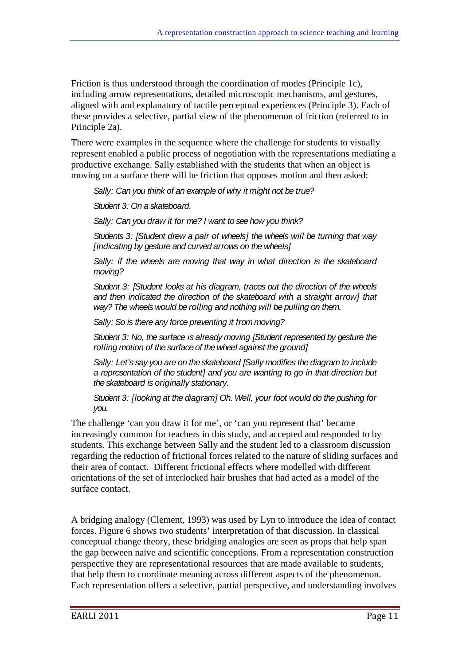Friction is thus understood through the coordination of modes (Principle 1c), including arrow representations, detailed microscopic mechanisms, and gestures, aligned with and explanatory of tactile perceptual experiences (Principle 3). Each of these provides a selective, partial view of the phenomenon of friction (referred to in Principle 2a).

There were examples in the sequence where the challenge for students to visually represent enabled a public process of negotiation with the representations mediating a productive exchange. Sally established with the students that when an object is moving on a surface there will be friction that opposes motion and then asked:

*Sally: Can you think of an example of why it might not be true?* 

*Student 3: On a skateboard.*

*Sally: Can you draw it for me? I want to see how you think?*

*Students 3: [Student drew a pair of wheels] the wheels will be turning that way [indicating by gesture and curved arrows on the wheels]*

Sally: if the wheels are moving that way in what direction is the skateboard *moving?*

*Student 3: [Student looks at his diagram, traces out the direction of the wheels and then indicated the direction of the skateboard with a straight arrow] that way? The wheels would be rolling and nothing will be pulling on them.*

*Sally: So is there any force preventing it from moving?*

*Student 3: No, the surface is already moving [Student represented by gesture the rolling motion of the surface of the wheel against the ground]*

*Sally: Let's say you are on the skateboard [Sally modifies the diagram to include a representation of the student] and you are wanting to go in that direction but the skateboard is originally stationary.*

*Student 3: [looking at the diagram] Oh. Well, your foot would do the pushing for you.*

The challenge 'can you draw it for me', or 'can you represent that' became increasingly common for teachers in this study, and accepted and responded to by students. This exchange between Sally and the student led to a classroom discussion regarding the reduction of frictional forces related to the nature of sliding surfaces and their area of contact. Different frictional effects where modelled with different orientations of the set of interlocked hair brushes that had acted as a model of the surface contact.

A bridging analogy (Clement, 1993) was used by Lyn to introduce the idea of contact forces. Figure 6 shows two students' interpretation of that discussion. In classical conceptual change theory, these bridging analogies are seen as props that help span the gap between naïve and scientific conceptions. From a representation construction perspective they are representational resources that are made available to students, that help them to coordinate meaning across different aspects of the phenomenon. Each representation offers a selective, partial perspective, and understanding involves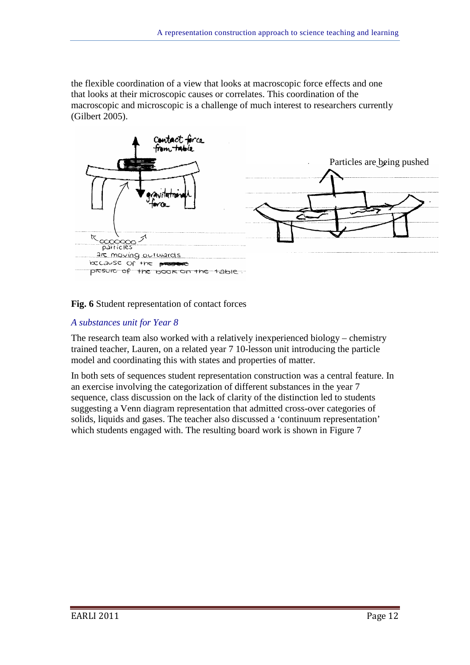the flexible coordination of a view that looks at macroscopic force effects and one that looks at their microscopic causes or correlates. This coordination of the macroscopic and microscopic is a challenge of much interest to researchers currently (Gilbert 2005).



## **Fig. 6** Student representation of contact forces

## *A substances unit for Year 8*

The research team also worked with a relatively inexperienced biology – chemistry trained teacher, Lauren, on a related year 7 10-lesson unit introducing the particle model and coordinating this with states and properties of matter.

In both sets of sequences student representation construction was a central feature. In an exercise involving the categorization of different substances in the year 7 sequence, class discussion on the lack of clarity of the distinction led to students suggesting a Venn diagram representation that admitted cross-over categories of solids, liquids and gases. The teacher also discussed a 'continuum representation' which students engaged with. The resulting board work is shown in Figure 7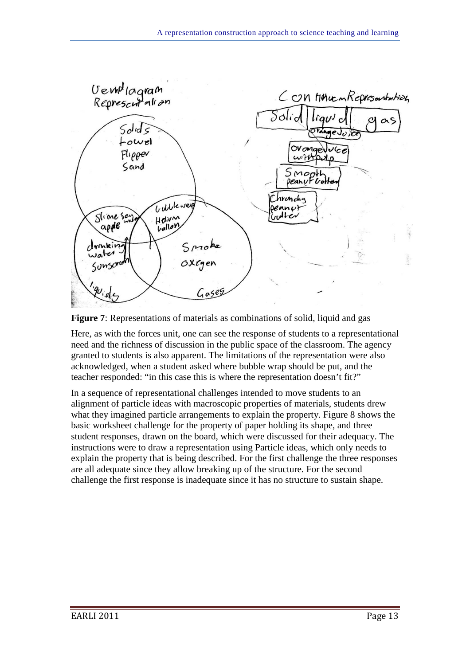

**Figure 7**: Representations of materials as combinations of solid, liquid and gas

Here, as with the forces unit, one can see the response of students to a representational need and the richness of discussion in the public space of the classroom. The agency granted to students is also apparent. The limitations of the representation were also acknowledged, when a student asked where bubble wrap should be put, and the teacher responded: "in this case this is where the representation doesn't fit?"

In a sequence of representational challenges intended to move students to an alignment of particle ideas with macroscopic properties of materials, students drew what they imagined particle arrangements to explain the property. Figure 8 shows the basic worksheet challenge for the property of paper holding its shape, and three student responses, drawn on the board, which were discussed for their adequacy. The instructions were to draw a representation using Particle ideas, which only needs to explain the property that is being described. For the first challenge the three responses are all adequate since they allow breaking up of the structure. For the second challenge the first response is inadequate since it has no structure to sustain shape.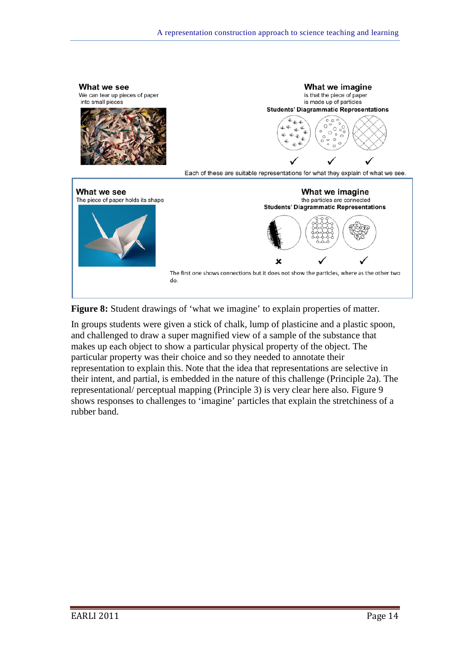

**Figure 8:** Student drawings of 'what we imagine' to explain properties of matter.

In groups students were given a stick of chalk, lump of plasticine and a plastic spoon, and challenged to draw a super magnified view of a sample of the substance that makes up each object to show a particular physical property of the object. The particular property was their choice and so they needed to annotate their representation to explain this. Note that the idea that representations are selective in their intent, and partial, is embedded in the nature of this challenge (Principle 2a). The representational/ perceptual mapping (Principle 3) is very clear here also. Figure 9 shows responses to challenges to 'imagine' particles that explain the stretchiness of a rubber band.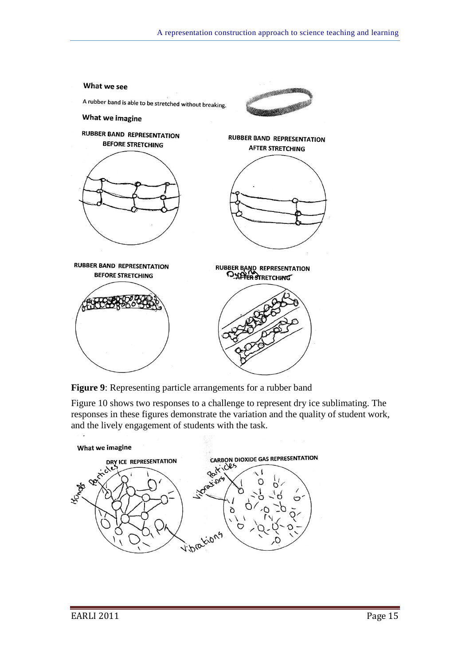

**Figure 9**: Representing particle arrangements for a rubber band

Figure 10 shows two responses to a challenge to represent dry ice sublimating. The responses in these figures demonstrate the variation and the quality of student work, and the lively engagement of students with the task.

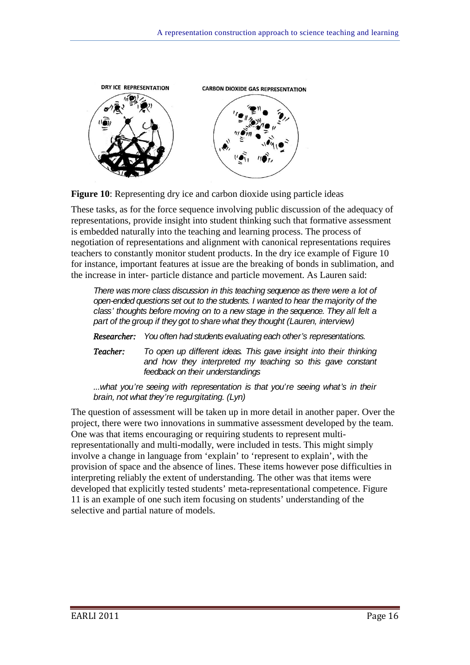

**Figure 10**: Representing dry ice and carbon dioxide using particle ideas

These tasks, as for the force sequence involving public discussion of the adequacy of representations, provide insight into student thinking such that formative assessment is embedded naturally into the teaching and learning process. The process of negotiation of representations and alignment with canonical representations requires teachers to constantly monitor student products. In the dry ice example of Figure 10 for instance, important features at issue are the breaking of bonds in sublimation, and the increase in inter- particle distance and particle movement. As Lauren said:

*There was more class discussion in this teaching sequence as there were a lot of open-ended questions set out to the students. I wanted to hear the majority of the class' thoughts before moving on to a new stage in the sequence. They all felt a part of the group if they got to share what they thought (Lauren, interview)*

*Researcher: You often had students evaluating each other's representations.*

*Teacher: To open up different ideas. This gave insight into their thinking and how they interpreted my teaching so this gave constant feedback on their understandings*

*...what you're seeing with representation is that you're seeing what's in their brain, not what they're regurgitating. (Lyn)*

The question of assessment will be taken up in more detail in another paper. Over the project, there were two innovations in summative assessment developed by the team. One was that items encouraging or requiring students to represent multirepresentationally and multi-modally, were included in tests. This might simply involve a change in language from 'explain' to 'represent to explain', with the provision of space and the absence of lines. These items however pose difficulties in interpreting reliably the extent of understanding. The other was that items were developed that explicitly tested students' meta-representational competence. Figure 11 is an example of one such item focusing on students' understanding of the selective and partial nature of models.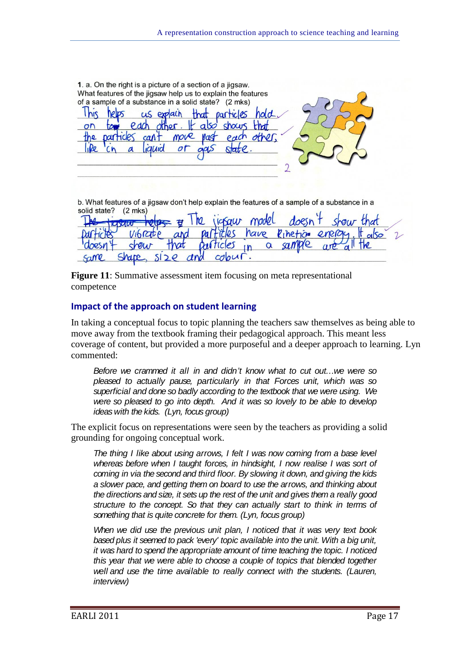| 1. a. On the right is a picture of a section of a jigsaw.<br>What features of the jigsaw help us to explain the features<br>of a sample of a substance in a solid state? (2 mks)<br>us explain that particles<br>It also shows that<br>other.<br>$\sigma$ |
|-----------------------------------------------------------------------------------------------------------------------------------------------------------------------------------------------------------------------------------------------------------|
|-----------------------------------------------------------------------------------------------------------------------------------------------------------------------------------------------------------------------------------------------------------|

b. What features of a jigsaw don't help explain the features of a sample of a substance in a solid state? (2 mks)

| The jugar helps & Ine jugar model doesn't show that          |  |
|--------------------------------------------------------------|--|
| writings visitate and partitles have kinetion energy it also |  |
|                                                              |  |
| and<br>$\sim$<br>shape, size<br>Same                         |  |

**Figure 11:** Summative assessment item focusing on meta representational competence

## **Impact of the approach on student learning**

In taking a conceptual focus to topic planning the teachers saw themselves as being able to move away from the textbook framing their pedagogical approach. This meant less coverage of content, but provided a more purposeful and a deeper approach to learning. Lyn commented:

*Before we crammed it all in and didn't know what to cut out…we were so pleased to actually pause, particularly in that Forces unit, which was so superficial and done so badly according to the textbook that we were using. We were so pleased to go into depth. And it was so lovely to be able to develop ideas with the kids. (Lyn, focus group)*

The explicit focus on representations were seen by the teachers as providing a solid grounding for ongoing conceptual work.

*The thing I like about using arrows, I felt I was now coming from a base level*  whereas before when I taught forces, in hindsight, I now realise I was sort of *coming in via the second and third floor. By slowing it down, and giving the kids a slower pace, and getting them on board to use the arrows, and thinking about the directions and size, it sets up the rest of the unit and gives them a really good structure to the concept. So that they can actually start to think in terms of something that is quite concrete for them. (Lyn, focus group)*

*When we did use the previous unit plan, I noticed that it was very text book based plus it seemed to pack 'every' topic available into the unit. With a big unit, it was hard to spend the appropriate amount of time teaching the topic. I noticed this year that we were able to choose a couple of topics that blended together well and use the time available to really connect with the students. (Lauren, interview)*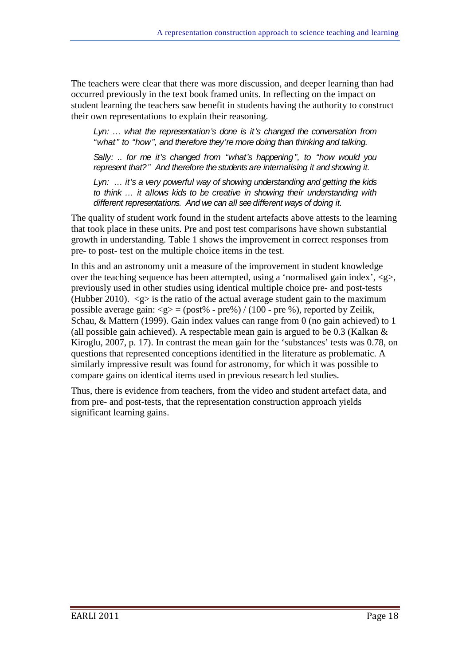The teachers were clear that there was more discussion, and deeper learning than had occurred previously in the text book framed units. In reflecting on the impact on student learning the teachers saw benefit in students having the authority to construct their own representations to explain their reasoning.

*Lyn: … what the representation's done is it's changed the conversation from "what" to "how", and therefore they're more doing than thinking and talking.*

*Sally: .. for me it's changed from "what's happening", to "how would you represent that?" And therefore the students are internalising it and showing it.*

*Lyn: … it's a very powerful way of showing understanding and getting the kids to think … it allows kids to be creative in showing their understanding with different representations. And we can all see different ways of doing it.*

The quality of student work found in the student artefacts above attests to the learning that took place in these units. Pre and post test comparisons have shown substantial growth in understanding. Table 1 shows the improvement in correct responses from pre- to post- test on the multiple choice items in the test.

In this and an astronomy unit a measure of the improvement in student knowledge over the teaching sequence has been attempted, using a 'normalised gain index',  $\langle g \rangle$ , previously used in other studies using identical multiple choice pre- and post-tests (Hubber 2010).  $\langle \varphi \rangle$  is the ratio of the actual average student gain to the maximum possible average gain:  $\langle$ g $\rangle$  = (post% - pre%) / (100 - pre %), reported by Zeilik, Schau, & Mattern (1999). Gain index values can range from 0 (no gain achieved) to 1 (all possible gain achieved). A respectable mean gain is argued to be  $0.3$  (Kalkan  $\&$ Kiroglu, 2007, p. 17). In contrast the mean gain for the 'substances' tests was 0.78, on questions that represented conceptions identified in the literature as problematic. A similarly impressive result was found for astronomy, for which it was possible to compare gains on identical items used in previous research led studies.

Thus, there is evidence from teachers, from the video and student artefact data, and from pre- and post-tests, that the representation construction approach yields significant learning gains.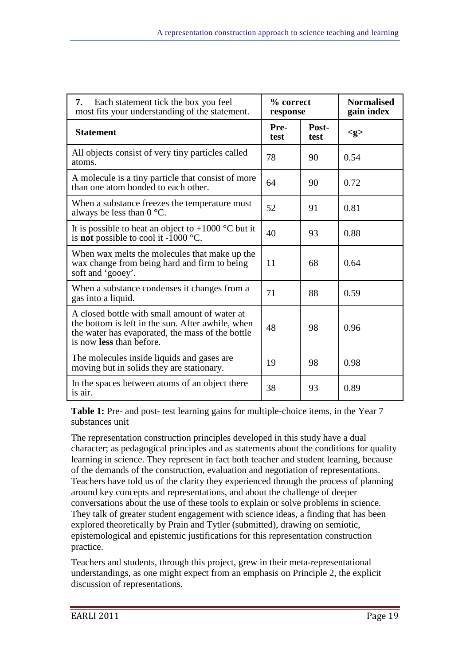| Each statement tick the box you feel<br>7.<br>most fits your understanding of the statement.                                                                                              | % correct<br>response |               | <b>Normalised</b><br>gain index |
|-------------------------------------------------------------------------------------------------------------------------------------------------------------------------------------------|-----------------------|---------------|---------------------------------|
| <b>Statement</b>                                                                                                                                                                          | Pre-<br>test          | Post-<br>test | <g></g>                         |
| All objects consist of very tiny particles called<br>atoms.                                                                                                                               | 78                    | 90            | 0.54                            |
| A molecule is a tiny particle that consist of more<br>than one atom bonded to each other.                                                                                                 | 64                    | 90            | 0.72                            |
| When a substance freezes the temperature must<br>always be less than $0^{\circ}$ C.                                                                                                       | 52                    | 91            | 0.81                            |
| It is possible to heat an object to $+1000$ °C but it<br>is <b>not</b> possible to cool it -1000 $^{\circ}$ C.                                                                            | 40                    | 93            | 0.88                            |
| When wax melts the molecules that make up the<br>wax change from being hard and firm to being<br>soft and 'gooey'.                                                                        | 11                    | 68            | 0.64                            |
| When a substance condenses it changes from a<br>gas into a liquid.                                                                                                                        | 71                    | 88            | 0.59                            |
| A closed bottle with small amount of water at<br>the bottom is left in the sun. After awhile, when<br>the water has evaporated, the mass of the bottle<br>is now <b>less</b> than before. | 48                    | 98            | 0.96                            |
| The molecules inside liquids and gases are<br>moving but in solids they are stationary.                                                                                                   | 19                    | 98            | 0.98                            |
| In the spaces between atoms of an object there<br>is air.                                                                                                                                 | 38                    | 93            | 0.89                            |

**Table 1:** Pre- and post- test learning gains for multiple-choice items, in the Year 7 substances unit

The representation construction principles developed in this study have a dual character; as pedagogical principles and as statements about the conditions for quality learning in science. They represent in fact both teacher and student learning, because of the demands of the construction, evaluation and negotiation of representations. Teachers have told us of the clarity they experienced through the process of planning around key concepts and representations, and about the challenge of deeper conversations about the use of these tools to explain or solve problems in science. They talk of greater student engagement with science ideas, a finding that has been explored theoretically by Prain and Tytler (submitted), drawing on semiotic, epistemological and epistemic justifications for this representation construction practice.

Teachers and students, through this project, grew in their meta-representational understandings, as one might expect from an emphasis on Principle 2, the explicit discussion of representations.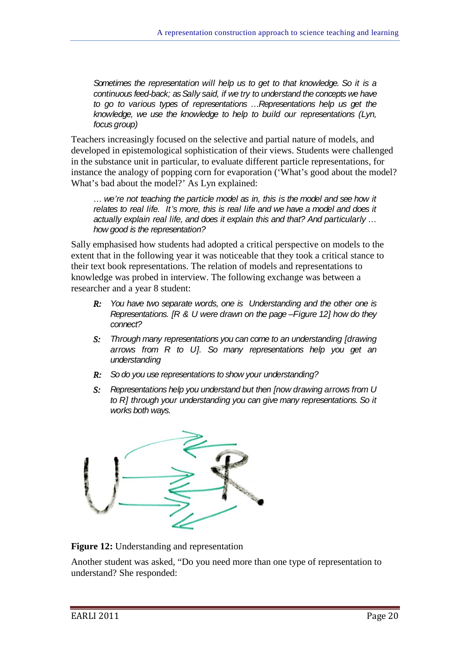Sometimes the representation will help us to get to that knowledge. So it is a *continuous feed-back; as Sally said, if we try to understand the concepts we have to go to various types of representations …Representations help us get the knowledge, we use the knowledge to help to build our representations (Lyn, focus group)*

Teachers increasingly focused on the selective and partial nature of models, and developed in epistemological sophistication of their views. Students were challenged in the substance unit in particular, to evaluate different particle representations, for instance the analogy of popping corn for evaporation ('What's good about the model? What's bad about the model?' As Lyn explained:

*… we're not teaching the particle model as in, this is the model and see how it relates to real life. It's more, this is real life and we have a model and does it actually explain real life, and does it explain this and that? And particularly … how good is the representation?* 

Sally emphasised how students had adopted a critical perspective on models to the extent that in the following year it was noticeable that they took a critical stance to their text book representations. The relation of models and representations to knowledge was probed in interview. The following exchange was between a researcher and a year 8 student:

- *R: You have two separate words, one is Understanding and the other one is Representations. [R & U were drawn on the page –Figure 12] how do they connect?*
- *S: Through many representations you can come to an understanding [drawing arrows from R to U]. So many representations help you get an understanding*
- *R: So do you use representations to show your understanding?*
- *S: Representations help you understand but then [now drawing arrows from U to R] through your understanding you can give many representations. So it works both ways.*



**Figure 12:** Understanding and representation

Another student was asked, "Do you need more than one type of representation to understand? She responded: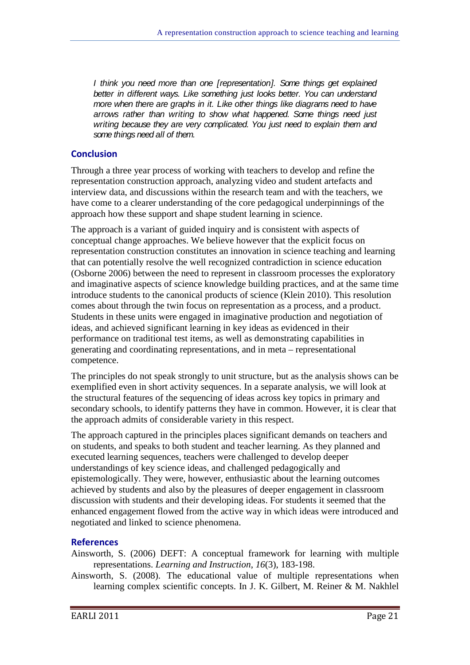*I think you need more than one [representation]. Some things get explained* better in different ways. Like something just looks better. You can understand more when there are graphs in it. Like other things like diagrams need to have *arrows rather than writing to show what happened. Some things need just writing because they are very complicated. You just need to explain them and some things need all of them.*

## **Conclusion**

Through a three year process of working with teachers to develop and refine the representation construction approach, analyzing video and student artefacts and interview data, and discussions within the research team and with the teachers, we have come to a clearer understanding of the core pedagogical underpinnings of the approach how these support and shape student learning in science.

The approach is a variant of guided inquiry and is consistent with aspects of conceptual change approaches. We believe however that the explicit focus on representation construction constitutes an innovation in science teaching and learning that can potentially resolve the well recognized contradiction in science education (Osborne 2006) between the need to represent in classroom processes the exploratory and imaginative aspects of science knowledge building practices, and at the same time introduce students to the canonical products of science (Klein 2010). This resolution comes about through the twin focus on representation as a process, and a product. Students in these units were engaged in imaginative production and negotiation of ideas, and achieved significant learning in key ideas as evidenced in their performance on traditional test items, as well as demonstrating capabilities in generating and coordinating representations, and in meta – representational competence.

The principles do not speak strongly to unit structure, but as the analysis shows can be exemplified even in short activity sequences. In a separate analysis, we will look at the structural features of the sequencing of ideas across key topics in primary and secondary schools, to identify patterns they have in common. However, it is clear that the approach admits of considerable variety in this respect.

The approach captured in the principles places significant demands on teachers and on students, and speaks to both student and teacher learning. As they planned and executed learning sequences, teachers were challenged to develop deeper understandings of key science ideas, and challenged pedagogically and epistemologically. They were, however, enthusiastic about the learning outcomes achieved by students and also by the pleasures of deeper engagement in classroom discussion with students and their developing ideas. For students it seemed that the enhanced engagement flowed from the active way in which ideas were introduced and negotiated and linked to science phenomena.

## **References**

- Ainsworth, S. (2006) DEFT: A conceptual framework for learning with multiple representations. *Learning and Instruction*, *16*(3), 183-198.
- Ainsworth, S. (2008). The educational value of multiple representations when learning complex scientific concepts. In J. K. Gilbert, M. Reiner & M. Nakhlel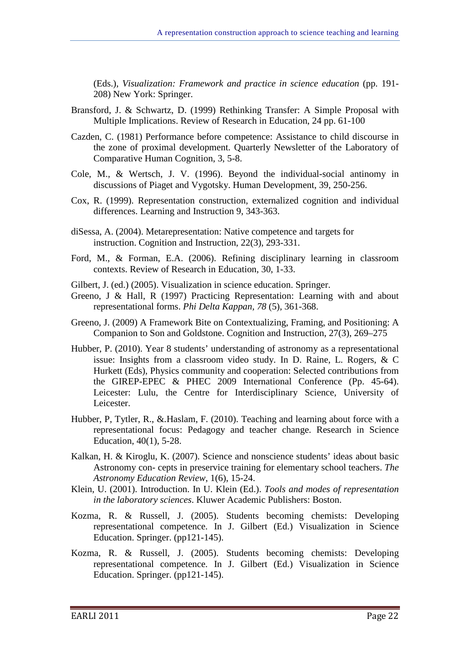(Eds.), *Visualization: Framework and practice in science education* (pp. 191- 208) New York: Springer.

- Bransford, J. & Schwartz, D. (1999) Rethinking Transfer: A Simple Proposal with Multiple Implications. Review of Research in Education, 24 pp. 61-100
- Cazden, C. (1981) Performance before competence: Assistance to child discourse in the zone of proximal development. Quarterly Newsletter of the Laboratory of Comparative Human Cognition, 3, 5-8.
- Cole, M., & Wertsch, J. V. (1996). Beyond the individual-social antinomy in discussions of Piaget and Vygotsky. Human Development, 39, 250-256.
- Cox, R. (1999). Representation construction, externalized cognition and individual differences. Learning and Instruction 9, 343-363.
- diSessa, A. (2004). Metarepresentation: Native competence and targets for instruction. Cognition and Instruction, 22(3), 293-331.
- Ford, M., & Forman, E.A. (2006). Refining disciplinary learning in classroom contexts. Review of Research in Education, 30, 1-33.
- Gilbert, J. (ed.) (2005). Visualization in science education. Springer.
- Greeno, J & Hall, R (1997) Practicing Representation: Learning with and about representational forms. *Phi Delta Kappan, 78* (5), 361-368.
- Greeno, J. (2009) A Framework Bite on Contextualizing, Framing, and Positioning: A Companion to Son and Goldstone. Cognition and Instruction, 27(3), 269–275
- Hubber, P. (2010). Year 8 students' understanding of astronomy as a representational issue: Insights from a classroom video study. In D. Raine, L. Rogers, & C Hurkett (Eds), Physics community and cooperation: Selected contributions from the GIREP-EPEC & PHEC 2009 International Conference (Pp. 45-64). Leicester: Lulu, the Centre for Interdisciplinary Science, University of Leicester.
- Hubber, P, Tytler, R., &.Haslam, F. (2010). Teaching and learning about force with a representational focus: Pedagogy and teacher change. Research in Science Education, 40(1), 5-28.
- Kalkan, H. & Kiroglu, K. (2007). Science and nonscience students' ideas about basic Astronomy con- cepts in preservice training for elementary school teachers. *The Astronomy Education Review*, 1(6), 15-24.
- Klein, U. (2001). Introduction. In U. Klein (Ed.). *Tools and modes of representation in the laboratory sciences*. Kluwer Academic Publishers: Boston.
- Kozma, R. & Russell, J. (2005). Students becoming chemists: Developing representational competence. In J. Gilbert (Ed.) Visualization in Science Education. Springer. (pp121-145).
- Kozma, R. & Russell, J. (2005). Students becoming chemists: Developing representational competence. In J. Gilbert (Ed.) Visualization in Science Education. Springer. (pp121-145).